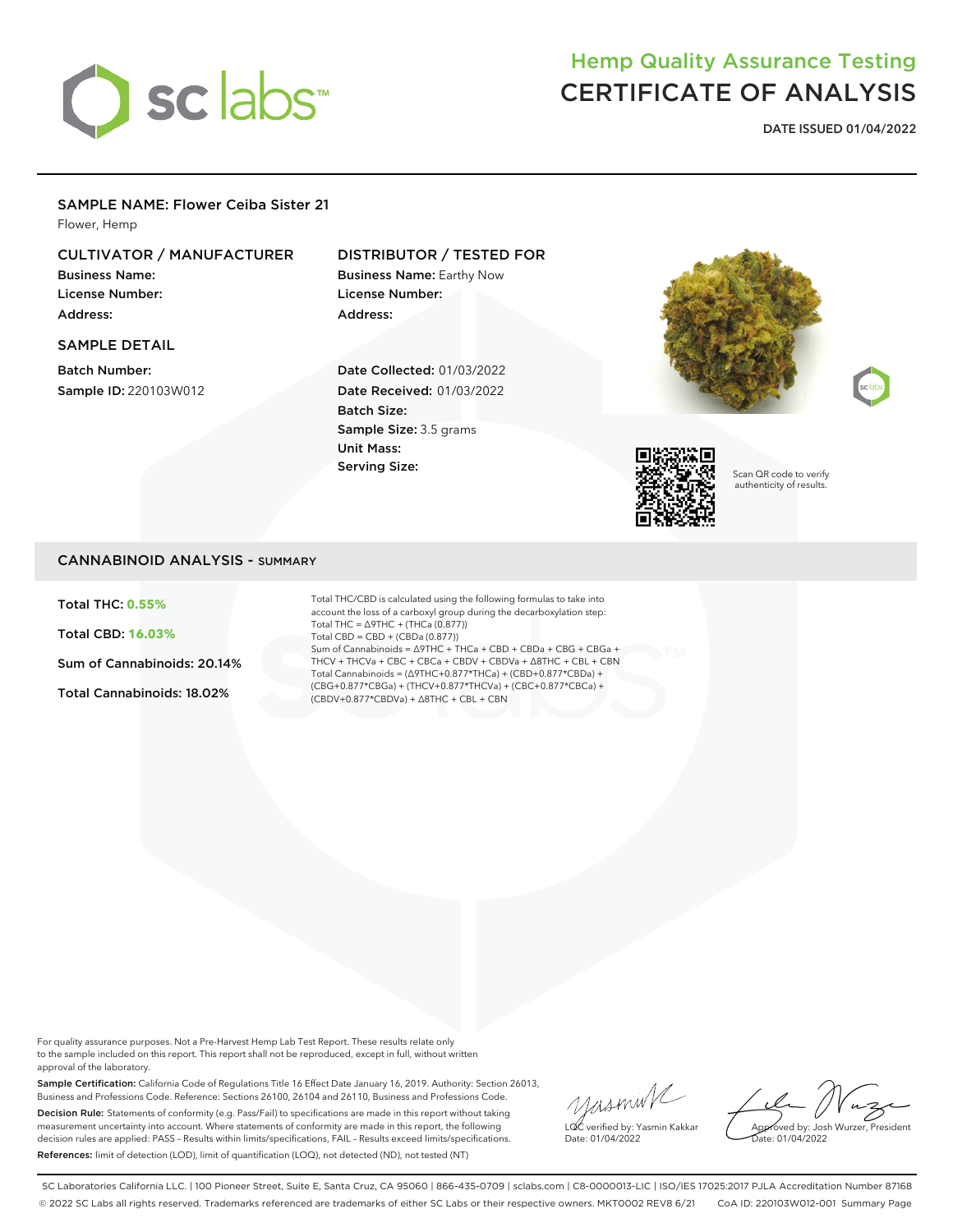

# Hemp Quality Assurance Testing CERTIFICATE OF ANALYSIS

**DATE ISSUED 01/04/2022**

### SAMPLE NAME: Flower Ceiba Sister 21

Flower, Hemp

# CULTIVATOR / MANUFACTURER

Business Name: License Number: Address:

#### SAMPLE DETAIL

Batch Number: Sample ID: 220103W012

## DISTRIBUTOR / TESTED FOR

Business Name: Earthy Now License Number: Address:

Date Collected: 01/03/2022 Date Received: 01/03/2022 Batch Size: Sample Size: 3.5 grams Unit Mass: Serving Size:







Scan QR code to verify authenticity of results.

### CANNABINOID ANALYSIS - SUMMARY

Total THC: **0.55%**

Total CBD: **16.03%**

Sum of Cannabinoids: 20.14%

Total Cannabinoids: 18.02%

Total THC/CBD is calculated using the following formulas to take into account the loss of a carboxyl group during the decarboxylation step: Total THC = ∆9THC + (THCa (0.877)) Total CBD = CBD + (CBDa (0.877)) Sum of Cannabinoids = ∆9THC + THCa + CBD + CBDa + CBG + CBGa + THCV + THCVa + CBC + CBCa + CBDV + CBDVa + ∆8THC + CBL + CBN Total Cannabinoids = (∆9THC+0.877\*THCa) + (CBD+0.877\*CBDa) + (CBG+0.877\*CBGa) + (THCV+0.877\*THCVa) + (CBC+0.877\*CBCa) + (CBDV+0.877\*CBDVa) + ∆8THC + CBL + CBN

For quality assurance purposes. Not a Pre-Harvest Hemp Lab Test Report. These results relate only to the sample included on this report. This report shall not be reproduced, except in full, without written approval of the laboratory.

Sample Certification: California Code of Regulations Title 16 Effect Date January 16, 2019. Authority: Section 26013, Business and Professions Code. Reference: Sections 26100, 26104 and 26110, Business and Professions Code. Decision Rule: Statements of conformity (e.g. Pass/Fail) to specifications are made in this report without taking measurement uncertainty into account. Where statements of conformity are made in this report, the following decision rules are applied: PASS – Results within limits/specifications, FAIL – Results exceed limits/specifications. References: limit of detection (LOD), limit of quantification (LOQ), not detected (ND), not tested (NT)

yusmink LQC verified by: Yasmin Kakkar Date: 01/04/2022

Approved by: Josh Wurzer, President Date: 01/04/2022

SC Laboratories California LLC. | 100 Pioneer Street, Suite E, Santa Cruz, CA 95060 | 866-435-0709 | sclabs.com | C8-0000013-LIC | ISO/IES 17025:2017 PJLA Accreditation Number 87168 © 2022 SC Labs all rights reserved. Trademarks referenced are trademarks of either SC Labs or their respective owners. MKT0002 REV8 6/21 CoA ID: 220103W012-001 Summary Page